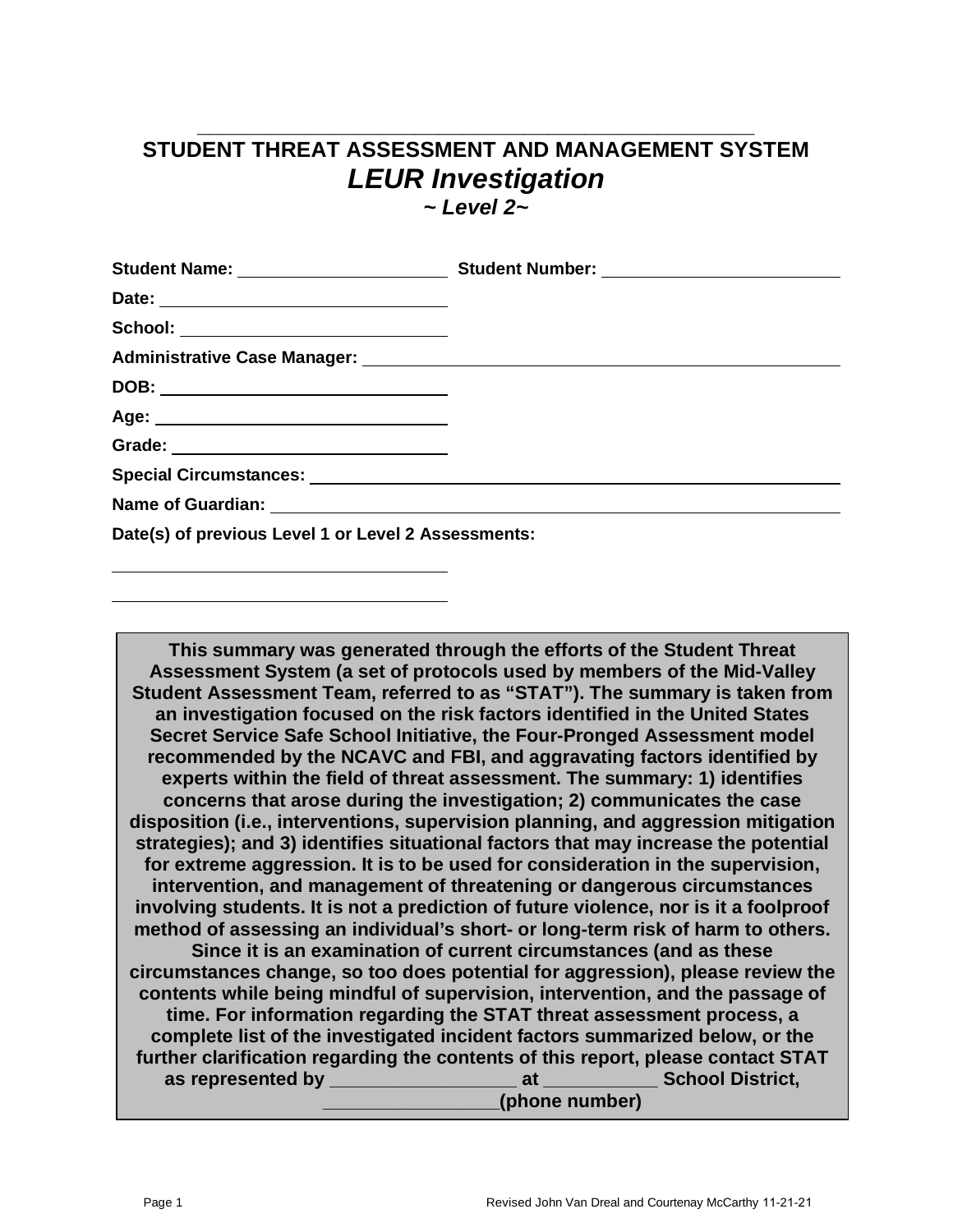## **\_\_\_\_\_\_\_\_\_\_\_\_\_\_\_\_\_\_\_\_\_\_\_\_\_\_\_\_\_\_\_\_\_\_\_\_\_\_\_\_\_\_\_\_\_\_ STUDENT THREAT ASSESSMENT AND MANAGEMENT SYSTEM** *LEUR Investigation*

*~ Level 2~*

| School: ____________________________                |  |
|-----------------------------------------------------|--|
|                                                     |  |
|                                                     |  |
| Age: ___________________________________            |  |
|                                                     |  |
|                                                     |  |
|                                                     |  |
| Date(s) of previous Level 1 or Level 2 Assessments: |  |

**This summary was generated through the efforts of the Student Threat Assessment System (a set of protocols used by members of the Mid-Valley Student Assessment Team, referred to as "STAT"). The summary is taken from an investigation focused on the risk factors identified in the United States Secret Service Safe School Initiative, the Four-Pronged Assessment model recommended by the NCAVC and FBI, and aggravating factors identified by experts within the field of threat assessment. The summary: 1) identifies concerns that arose during the investigation; 2) communicates the case disposition (i.e., interventions, supervision planning, and aggression mitigation strategies); and 3) identifies situational factors that may increase the potential for extreme aggression. It is to be used for consideration in the supervision, intervention, and management of threatening or dangerous circumstances involving students. It is not a prediction of future violence, nor is it a foolproof method of assessing an individual's short- or long-term risk of harm to others. Since it is an examination of current circumstances (and as these circumstances change, so too does potential for aggression), please review the contents while being mindful of supervision, intervention, and the passage of time. For information regarding the STAT threat assessment process, a complete list of the investigated incident factors summarized below, or the further clarification regarding the contents of this report, please contact STAT as represented by \_\_\_\_\_\_\_\_\_\_\_\_\_\_\_\_\_\_ at \_\_\_\_\_\_\_\_\_\_\_ School District, \_\_\_\_\_\_\_\_\_\_\_\_\_\_\_\_\_(phone number)**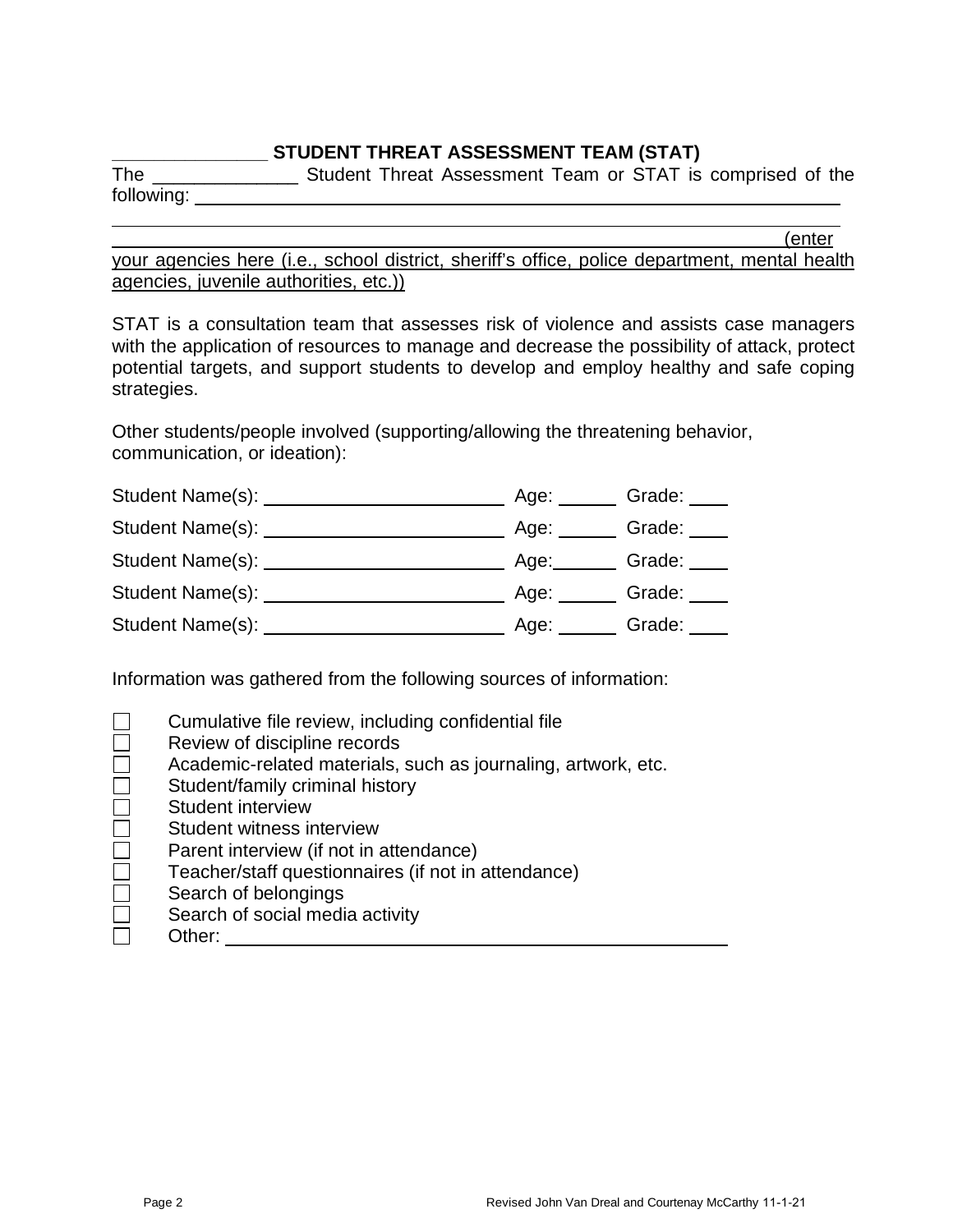### **\_\_\_\_\_\_\_\_\_\_\_\_\_\_\_ STUDENT THREAT ASSESSMENT TEAM (STAT)**

The \_\_\_\_\_\_\_\_\_\_\_\_\_\_\_\_\_\_\_\_\_ Student Threat Assessment Team or STAT is comprised of the following: <u>\_\_\_\_\_\_\_\_\_\_\_</u>

(enter

your agencies here (i.e., school district, sheriff's office, police department, mental health agencies, juvenile authorities, etc.))

STAT is a consultation team that assesses risk of violence and assists case managers with the application of resources to manage and decrease the possibility of attack, protect potential targets, and support students to develop and employ healthy and safe coping strategies.

Other students/people involved (supporting/allowing the threatening behavior, communication, or ideation):

| Student Name(s): | Age: | Grade: |
|------------------|------|--------|
| Student Name(s): | Age: | Grade: |
| Student Name(s): | Age: | Grade: |
| Student Name(s): | Age: | Grade: |
| Student Name(s): | Age: | Grade: |

Information was gathered from the following sources of information:

|                             | Cumulative file review, including confidential file           |
|-----------------------------|---------------------------------------------------------------|
|                             | Review of discipline records                                  |
| Г                           | Academic-related materials, such as journaling, artwork, etc. |
| $\mathcal{L}_{\mathcal{A}}$ | Student/family criminal history                               |
| $\Box$                      | Student interview                                             |
| $\Box$                      | Student witness interview                                     |
| $\Box$                      | Parent interview (if not in attendance)                       |
| $\Box$                      | Teacher/staff questionnaires (if not in attendance)           |
| $\Box$                      | Search of belongings                                          |
| Г                           | Search of social media activity                               |
|                             | Other:                                                        |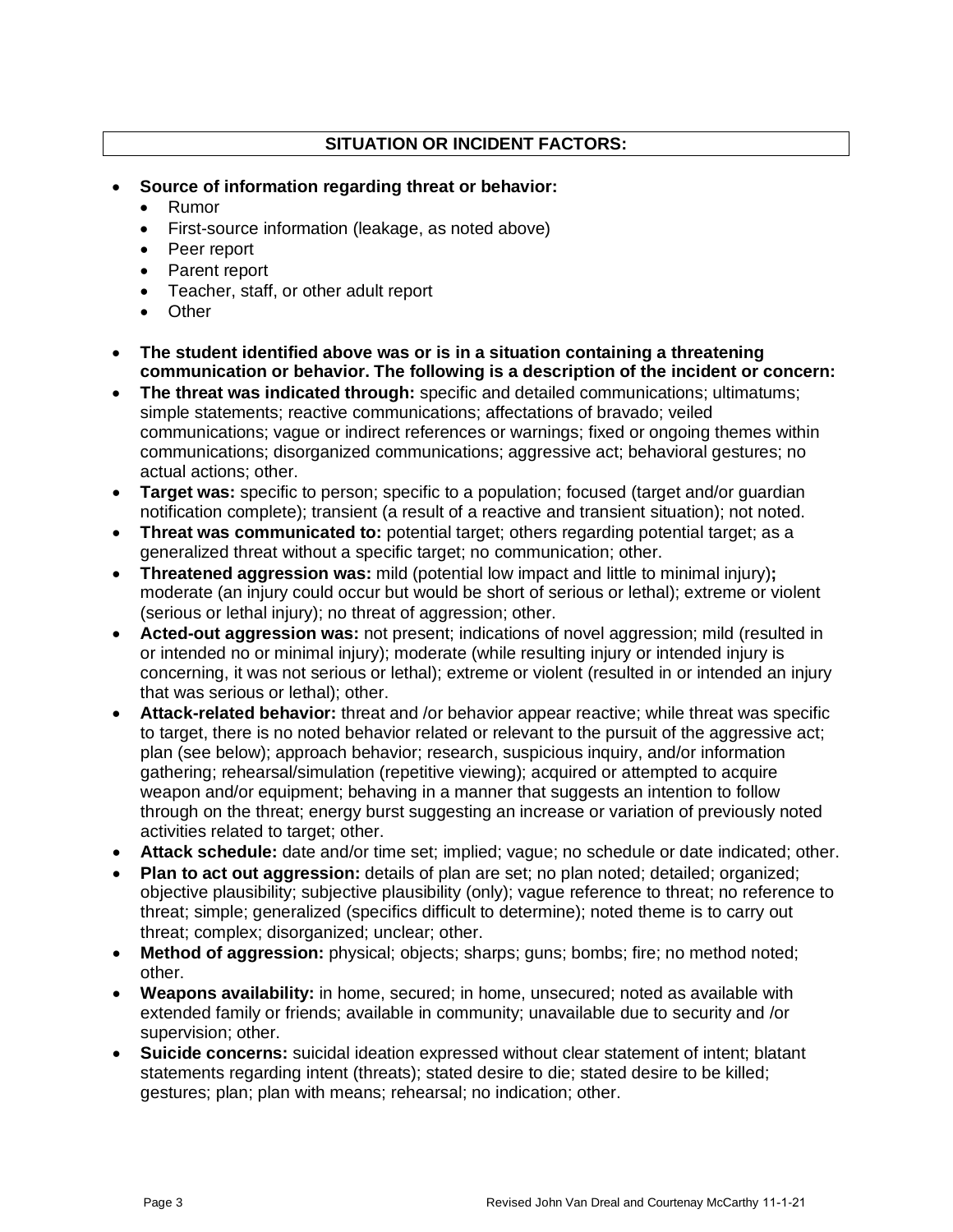### **SITUATION OR INCIDENT FACTORS:**

- **Source of information regarding threat or behavior:**
	- Rumor
	- First-source information (leakage, as noted above)
	- Peer report
	- Parent report
	- Teacher, staff, or other adult report
	- Other
- **The student identified above was or is in a situation containing a threatening communication or behavior. The following is a description of the incident or concern:**
- **The threat was indicated through:** specific and detailed communications; ultimatums; simple statements; reactive communications; affectations of bravado; veiled communications; vague or indirect references or warnings; fixed or ongoing themes within communications; disorganized communications; aggressive act; behavioral gestures; no actual actions; other.
- **Target was:** specific to person; specific to a population; focused (target and/or guardian notification complete); transient (a result of a reactive and transient situation); not noted.
- **Threat was communicated to:** potential target; others regarding potential target; as a generalized threat without a specific target; no communication; other.
- **Threatened aggression was:** mild (potential low impact and little to minimal injury)**;** moderate (an injury could occur but would be short of serious or lethal); extreme or violent (serious or lethal injury); no threat of aggression; other.
- **Acted-out aggression was:** not present; indications of novel aggression; mild (resulted in or intended no or minimal injury); moderate (while resulting injury or intended injury is concerning, it was not serious or lethal); extreme or violent (resulted in or intended an injury that was serious or lethal); other.
- **Attack-related behavior:** threat and /or behavior appear reactive; while threat was specific to target, there is no noted behavior related or relevant to the pursuit of the aggressive act; plan (see below); approach behavior; research, suspicious inquiry, and/or information gathering; rehearsal/simulation (repetitive viewing); acquired or attempted to acquire weapon and/or equipment; behaving in a manner that suggests an intention to follow through on the threat; energy burst suggesting an increase or variation of previously noted activities related to target; other.
- **Attack schedule:** date and/or time set; implied; vague; no schedule or date indicated; other.
- **Plan to act out aggression:** details of plan are set; no plan noted; detailed; organized; objective plausibility; subjective plausibility (only); vague reference to threat; no reference to threat; simple; generalized (specifics difficult to determine); noted theme is to carry out threat; complex; disorganized; unclear; other.
- **Method of aggression:** physical; objects; sharps; guns; bombs; fire; no method noted; other.
- **Weapons availability:** in home, secured; in home, unsecured; noted as available with extended family or friends; available in community; unavailable due to security and /or supervision; other.
- **Suicide concerns:** suicidal ideation expressed without clear statement of intent; blatant statements regarding intent (threats); stated desire to die; stated desire to be killed; gestures; plan; plan with means; rehearsal; no indication; other.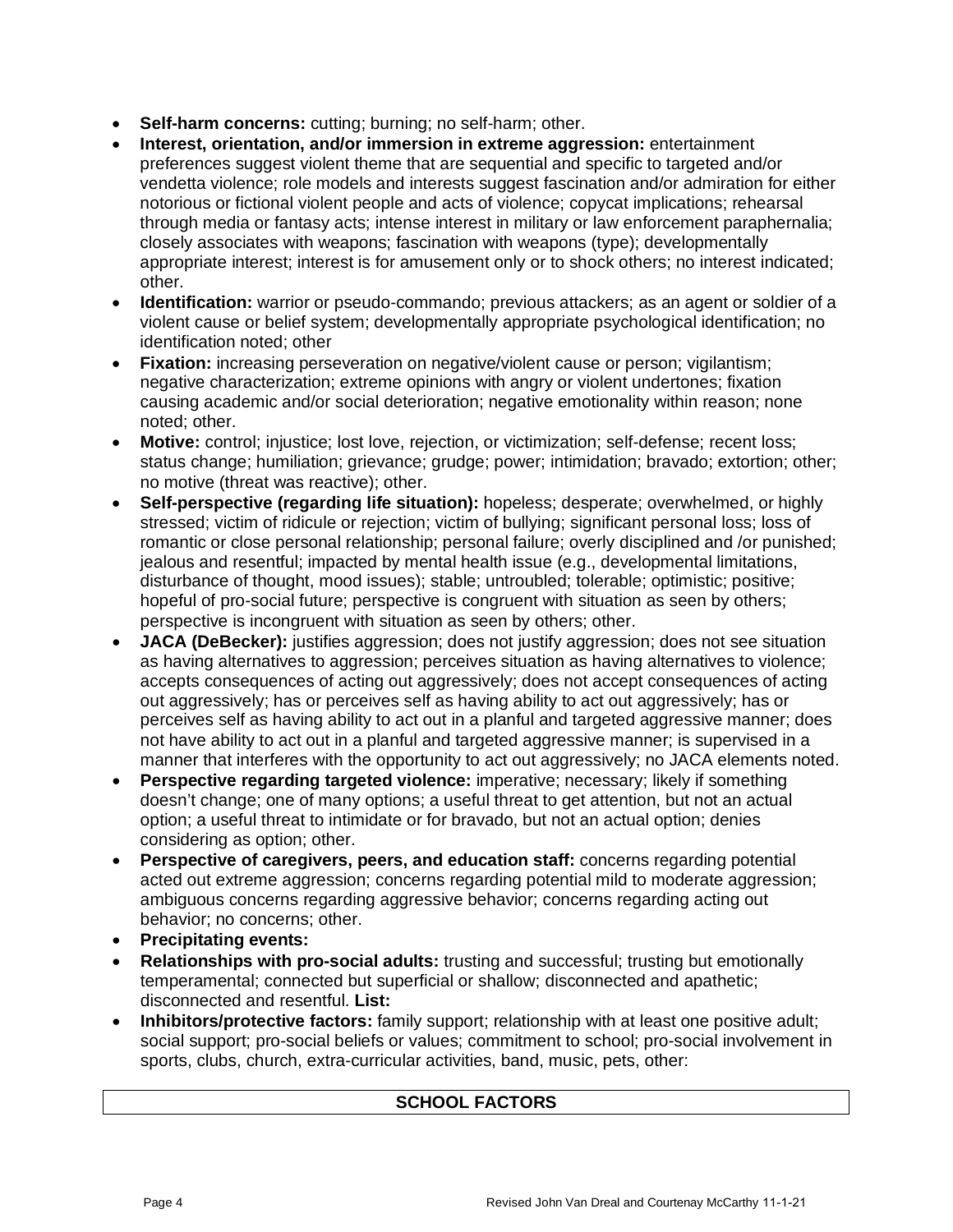- **Self-harm concerns:** cutting; burning; no self-harm; other.
- **Interest, orientation, and/or immersion in extreme aggression:** entertainment preferences suggest violent theme that are sequential and specific to targeted and/or vendetta violence; role models and interests suggest fascination and/or admiration for either notorious or fictional violent people and acts of violence; copycat implications; rehearsal through media or fantasy acts; intense interest in military or law enforcement paraphernalia; closely associates with weapons; fascination with weapons (type); developmentally appropriate interest; interest is for amusement only or to shock others; no interest indicated; other.
- **Identification:** warrior or pseudo-commando; previous attackers; as an agent or soldier of a violent cause or belief system; developmentally appropriate psychological identification; no identification noted; other
- **Fixation:** increasing perseveration on negative/violent cause or person; vigilantism; negative characterization; extreme opinions with angry or violent undertones; fixation causing academic and/or social deterioration; negative emotionality within reason; none noted; other.
- **Motive:** control; injustice; lost love, rejection, or victimization; self-defense; recent loss; status change; humiliation; grievance; grudge; power; intimidation; bravado; extortion; other; no motive (threat was reactive); other.
- **Self-perspective (regarding life situation):** hopeless; desperate; overwhelmed, or highly stressed; victim of ridicule or rejection; victim of bullying; significant personal loss; loss of romantic or close personal relationship; personal failure; overly disciplined and /or punished; jealous and resentful; impacted by mental health issue (e.g., developmental limitations, disturbance of thought, mood issues); stable; untroubled; tolerable; optimistic; positive; hopeful of pro-social future; perspective is congruent with situation as seen by others; perspective is incongruent with situation as seen by others; other.
- **JACA (DeBecker):** justifies aggression; does not justify aggression; does not see situation as having alternatives to aggression; perceives situation as having alternatives to violence; accepts consequences of acting out aggressively; does not accept consequences of acting out aggressively; has or perceives self as having ability to act out aggressively; has or perceives self as having ability to act out in a planful and targeted aggressive manner; does not have ability to act out in a planful and targeted aggressive manner; is supervised in a manner that interferes with the opportunity to act out aggressively; no JACA elements noted.
- **Perspective regarding targeted violence:** imperative; necessary; likely if something doesn't change; one of many options; a useful threat to get attention, but not an actual option; a useful threat to intimidate or for bravado, but not an actual option; denies considering as option; other.
- **Perspective of caregivers, peers, and education staff:** concerns regarding potential acted out extreme aggression; concerns regarding potential mild to moderate aggression; ambiguous concerns regarding aggressive behavior; concerns regarding acting out behavior; no concerns; other.
- **Precipitating events:**
- **Relationships with pro-social adults:** trusting and successful; trusting but emotionally temperamental; connected but superficial or shallow; disconnected and apathetic; disconnected and resentful. **List:**
- **Inhibitors/protective factors:** family support; relationship with at least one positive adult; social support; pro-social beliefs or values; commitment to school; pro-social involvement in sports, clubs, church, extra-curricular activities, band, music, pets, other:

### **SCHOOL FACTORS**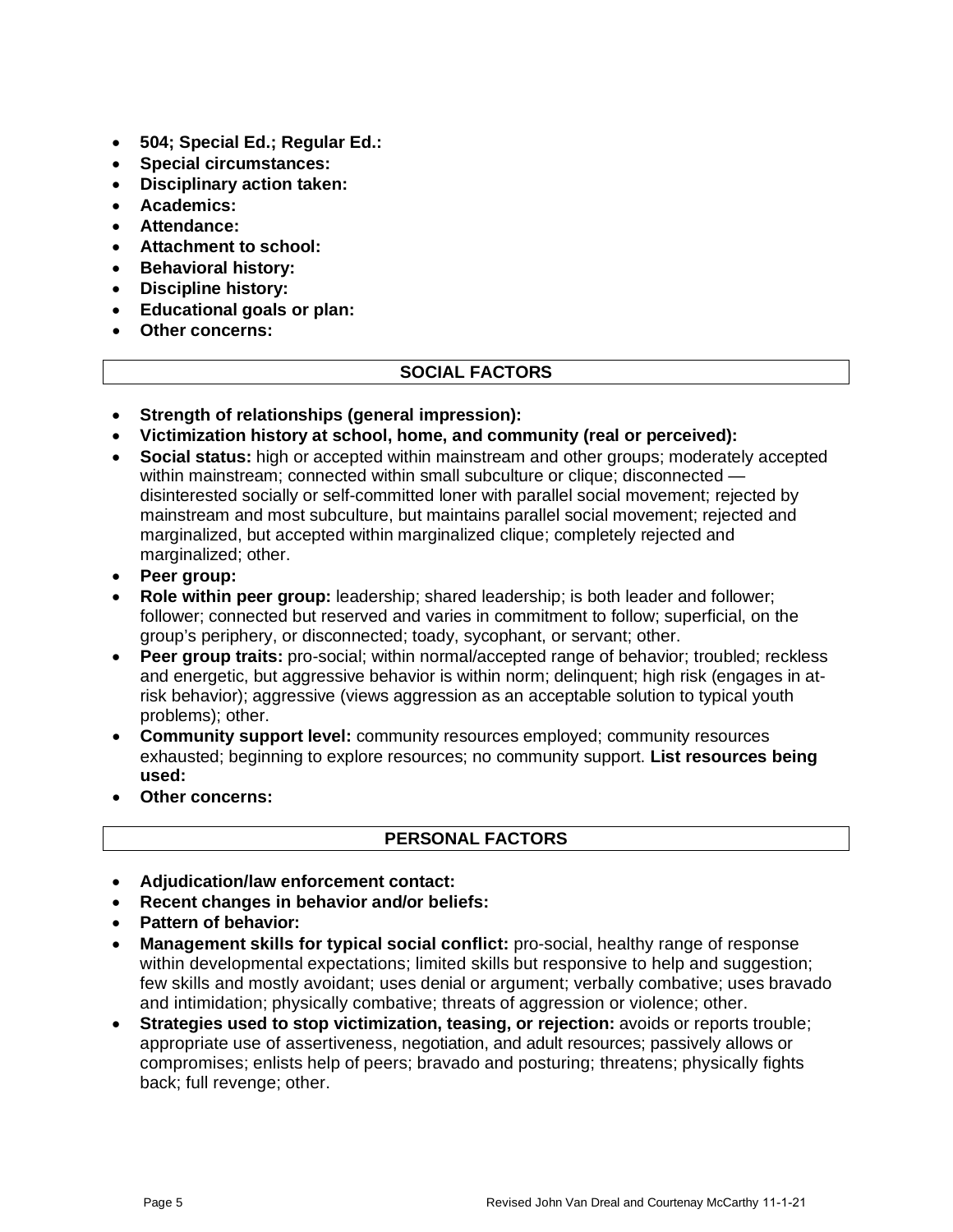- **504; Special Ed.; Regular Ed.:**
- **Special circumstances:**
- **Disciplinary action taken:**
- **Academics:**
- **Attendance:**
- **Attachment to school:**
- **Behavioral history:**
- **Discipline history:**
- **Educational goals or plan:**
- **Other concerns:**

### **SOCIAL FACTORS**

- **Strength of relationships (general impression):**
- **Victimization history at school, home, and community (real or perceived):**
- **Social status:** high or accepted within mainstream and other groups; moderately accepted within mainstream; connected within small subculture or clique; disconnected disinterested socially or self-committed loner with parallel social movement; rejected by mainstream and most subculture, but maintains parallel social movement; rejected and marginalized, but accepted within marginalized clique; completely rejected and marginalized; other.
- **Peer group:**
- **Role within peer group:** leadership; shared leadership; is both leader and follower; follower; connected but reserved and varies in commitment to follow; superficial, on the group's periphery, or disconnected; toady, sycophant, or servant; other.
- **Peer group traits:** pro-social; within normal/accepted range of behavior; troubled; reckless and energetic, but aggressive behavior is within norm; delinquent; high risk (engages in atrisk behavior); aggressive (views aggression as an acceptable solution to typical youth problems); other.
- **Community support level:** community resources employed; community resources exhausted; beginning to explore resources; no community support. **List resources being used:**
- **Other concerns:**

### **PERSONAL FACTORS**

- **Adjudication/law enforcement contact:**
- **Recent changes in behavior and/or beliefs:**
- **Pattern of behavior:**
- **Management skills for typical social conflict:** pro-social, healthy range of response within developmental expectations; limited skills but responsive to help and suggestion; few skills and mostly avoidant; uses denial or argument; verbally combative; uses bravado and intimidation; physically combative; threats of aggression or violence; other.
- **Strategies used to stop victimization, teasing, or rejection:** avoids or reports trouble; appropriate use of assertiveness, negotiation, and adult resources; passively allows or compromises; enlists help of peers; bravado and posturing; threatens; physically fights back; full revenge; other.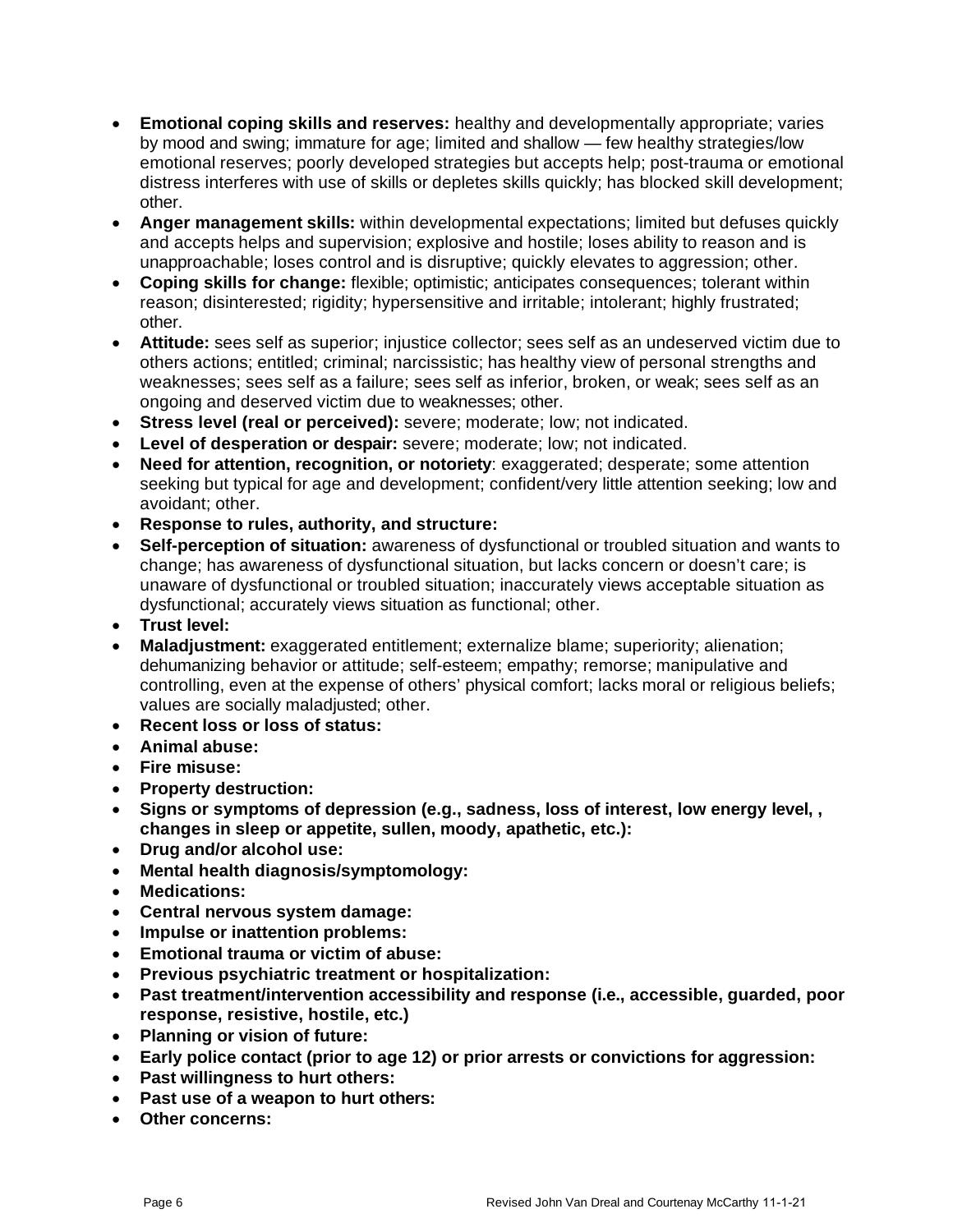- **Emotional coping skills and reserves:** healthy and developmentally appropriate; varies by mood and swing; immature for age; limited and shallow — few healthy strategies/low emotional reserves; poorly developed strategies but accepts help; post-trauma or emotional distress interferes with use of skills or depletes skills quickly; has blocked skill development; other.
- **Anger management skills:** within developmental expectations; limited but defuses quickly and accepts helps and supervision; explosive and hostile; loses ability to reason and is unapproachable; loses control and is disruptive; quickly elevates to aggression; other.
- **Coping skills for change:** flexible; optimistic; anticipates consequences; tolerant within reason; disinterested; rigidity; hypersensitive and irritable; intolerant; highly frustrated; other.
- **Attitude:** sees self as superior; injustice collector; sees self as an undeserved victim due to others actions; entitled; criminal; narcissistic; has healthy view of personal strengths and weaknesses; sees self as a failure; sees self as inferior, broken, or weak; sees self as an ongoing and deserved victim due to weaknesses; other.
- **Stress level (real or perceived):** severe; moderate; low; not indicated.
- **Level of desperation or despair:** severe; moderate; low; not indicated.
- **Need for attention, recognition, or notoriety**: exaggerated; desperate; some attention seeking but typical for age and development; confident/very little attention seeking; low and avoidant; other.
- **Response to rules, authority, and structure:**
- **Self-perception of situation:** awareness of dysfunctional or troubled situation and wants to change; has awareness of dysfunctional situation, but lacks concern or doesn't care; is unaware of dysfunctional or troubled situation; inaccurately views acceptable situation as dysfunctional; accurately views situation as functional; other.
- **Trust level:**
- **Maladjustment:** exaggerated entitlement; externalize blame; superiority; alienation; dehumanizing behavior or attitude; self-esteem; empathy; remorse; manipulative and controlling, even at the expense of others' physical comfort; lacks moral or religious beliefs; values are socially maladjusted; other.
- **Recent loss or loss of status:**
- **Animal abuse:**
- **Fire misuse:**
- **Property destruction:**
- **Signs or symptoms of depression (e.g., sadness, loss of interest, low energy level, , changes in sleep or appetite, sullen, moody, apathetic, etc.):**
- **Drug and/or alcohol use:**
- **Mental health diagnosis/symptomology:**
- **Medications:**
- **Central nervous system damage:**
- **Impulse or inattention problems:**
- **Emotional trauma or victim of abuse:**
- **Previous psychiatric treatment or hospitalization:**
- **Past treatment/intervention accessibility and response (i.e., accessible, guarded, poor response, resistive, hostile, etc.)**
- **Planning or vision of future:**
- **Early police contact (prior to age 12) or prior arrests or convictions for aggression:**
- **Past willingness to hurt others:**
- **Past use of a weapon to hurt others:**
- **Other concerns:**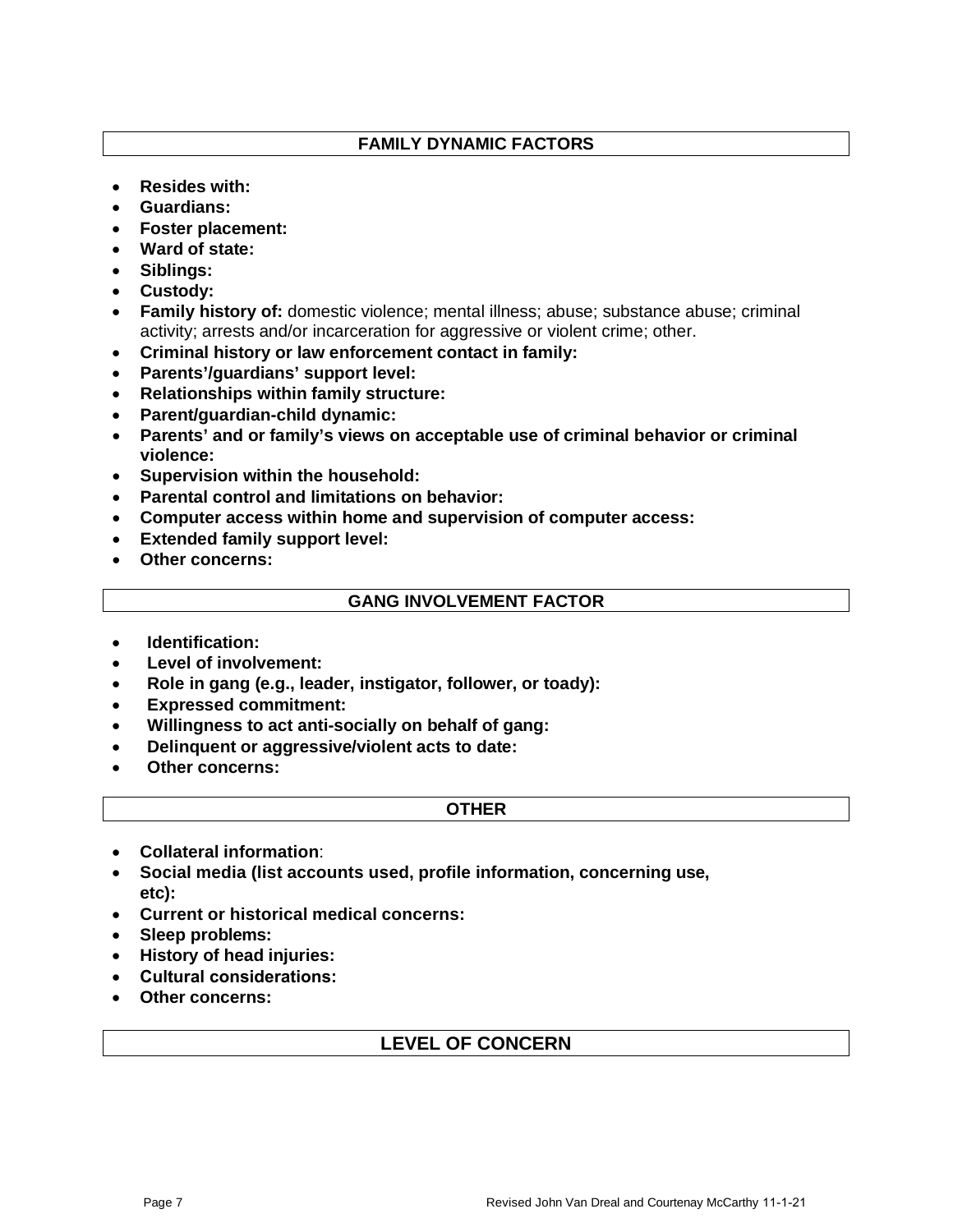### **FAMILY DYNAMIC FACTORS**

- **Resides with:**
- **Guardians:**
- **Foster placement:**
- **Ward of state:**
- **Siblings:**
- **Custody:**
- **Family history of:** domestic violence; mental illness; abuse; substance abuse; criminal activity; arrests and/or incarceration for aggressive or violent crime; other.
- **Criminal history or law enforcement contact in family:**
- **Parents'/guardians' support level:**
- **Relationships within family structure:**
- **Parent/guardian-child dynamic:**
- **Parents' and or family's views on acceptable use of criminal behavior or criminal violence:**
- **Supervision within the household:**
- **Parental control and limitations on behavior:**
- **Computer access within home and supervision of computer access:**
- **Extended family support level:**
- **Other concerns:**

#### **GANG INVOLVEMENT FACTOR**

- **Identification:**
- **Level of involvement:**
- **Role in gang (e.g., leader, instigator, follower, or toady):**
- **Expressed commitment:**
- **Willingness to act anti-socially on behalf of gang:**
- **Delinquent or aggressive/violent acts to date:**
- **Other concerns:**

#### **OTHER**

- **Collateral information**:
- **Social media (list accounts used, profile information, concerning use, etc):**
- **Current or historical medical concerns:**
- **Sleep problems:**
- **History of head injuries:**
- **Cultural considerations:**
- **Other concerns:**

### **LEVEL OF CONCERN**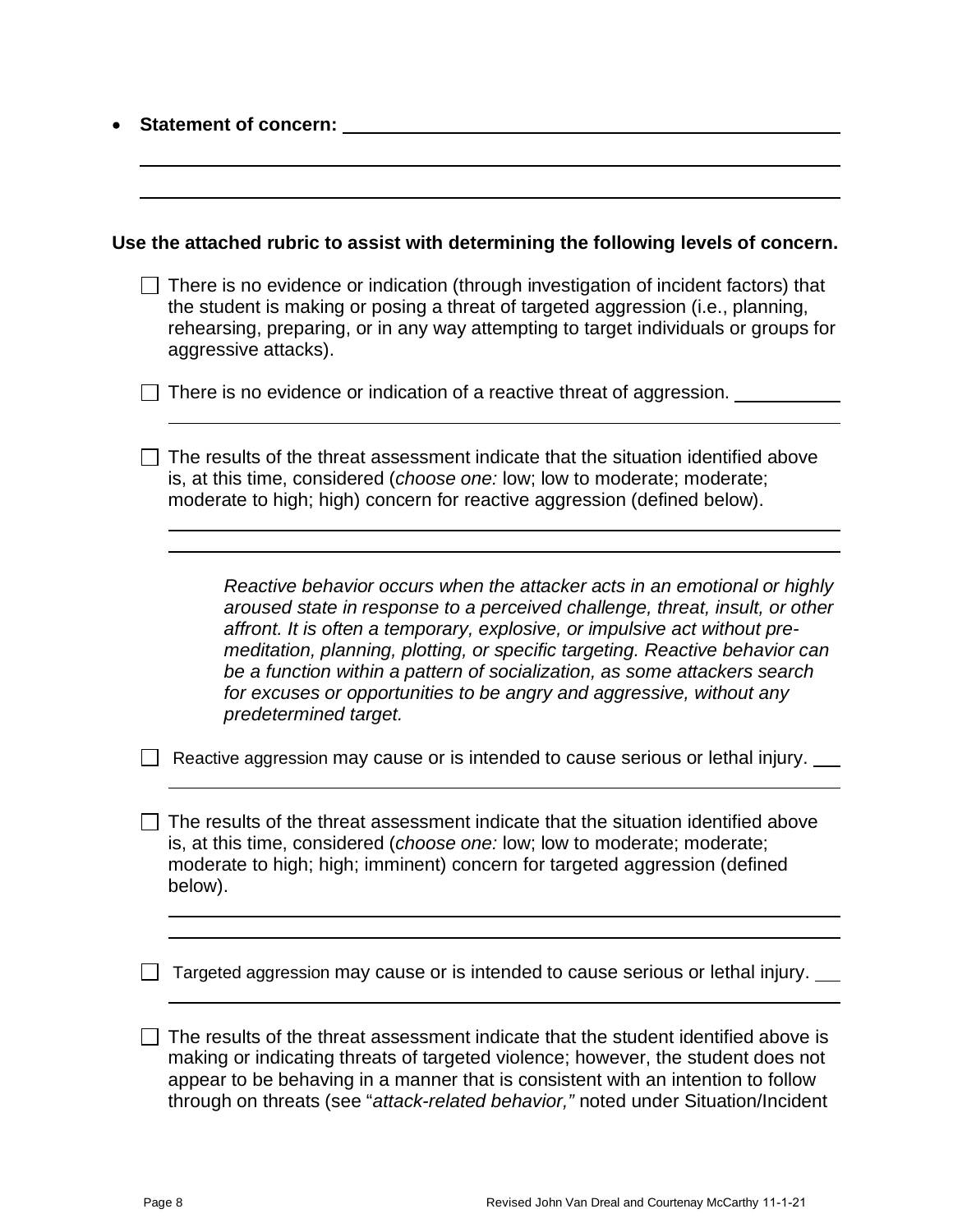| <b>Statement of concern:</b>                                                                                                                                                                                                                                                                                                                                                                                                                                                                          |  |  |  |
|-------------------------------------------------------------------------------------------------------------------------------------------------------------------------------------------------------------------------------------------------------------------------------------------------------------------------------------------------------------------------------------------------------------------------------------------------------------------------------------------------------|--|--|--|
|                                                                                                                                                                                                                                                                                                                                                                                                                                                                                                       |  |  |  |
| Use the attached rubric to assist with determining the following levels of concern.                                                                                                                                                                                                                                                                                                                                                                                                                   |  |  |  |
| There is no evidence or indication (through investigation of incident factors) that<br>the student is making or posing a threat of targeted aggression (i.e., planning,<br>rehearsing, preparing, or in any way attempting to target individuals or groups for<br>aggressive attacks).                                                                                                                                                                                                                |  |  |  |
| There is no evidence or indication of a reactive threat of aggression.                                                                                                                                                                                                                                                                                                                                                                                                                                |  |  |  |
| The results of the threat assessment indicate that the situation identified above<br>is, at this time, considered (choose one: low; low to moderate; moderate;<br>moderate to high; high) concern for reactive aggression (defined below).                                                                                                                                                                                                                                                            |  |  |  |
|                                                                                                                                                                                                                                                                                                                                                                                                                                                                                                       |  |  |  |
| Reactive behavior occurs when the attacker acts in an emotional or highly<br>aroused state in response to a perceived challenge, threat, insult, or other<br>affront. It is often a temporary, explosive, or impulsive act without pre-<br>meditation, planning, plotting, or specific targeting. Reactive behavior can<br>be a function within a pattern of socialization, as some attackers search<br>for excuses or opportunities to be angry and aggressive, without any<br>predetermined target. |  |  |  |
| Reactive aggression may cause or is intended to cause serious or lethal injury.                                                                                                                                                                                                                                                                                                                                                                                                                       |  |  |  |
| The results of the threat assessment indicate that the situation identified above<br>is, at this time, considered (choose one: low; low to moderate; moderate;<br>moderate to high; high; imminent) concern for targeted aggression (defined<br>below).                                                                                                                                                                                                                                               |  |  |  |
|                                                                                                                                                                                                                                                                                                                                                                                                                                                                                                       |  |  |  |
| Targeted aggression may cause or is intended to cause serious or lethal injury.                                                                                                                                                                                                                                                                                                                                                                                                                       |  |  |  |
| The results of the threat assessment indicate that the student identified above is<br>making or indicating threats of targeted violence; however, the student does not<br>appear to be behaving in a manner that is consistent with an intention to follow<br>through on threats (see "attack-related behavior," noted under Situation/Incident                                                                                                                                                       |  |  |  |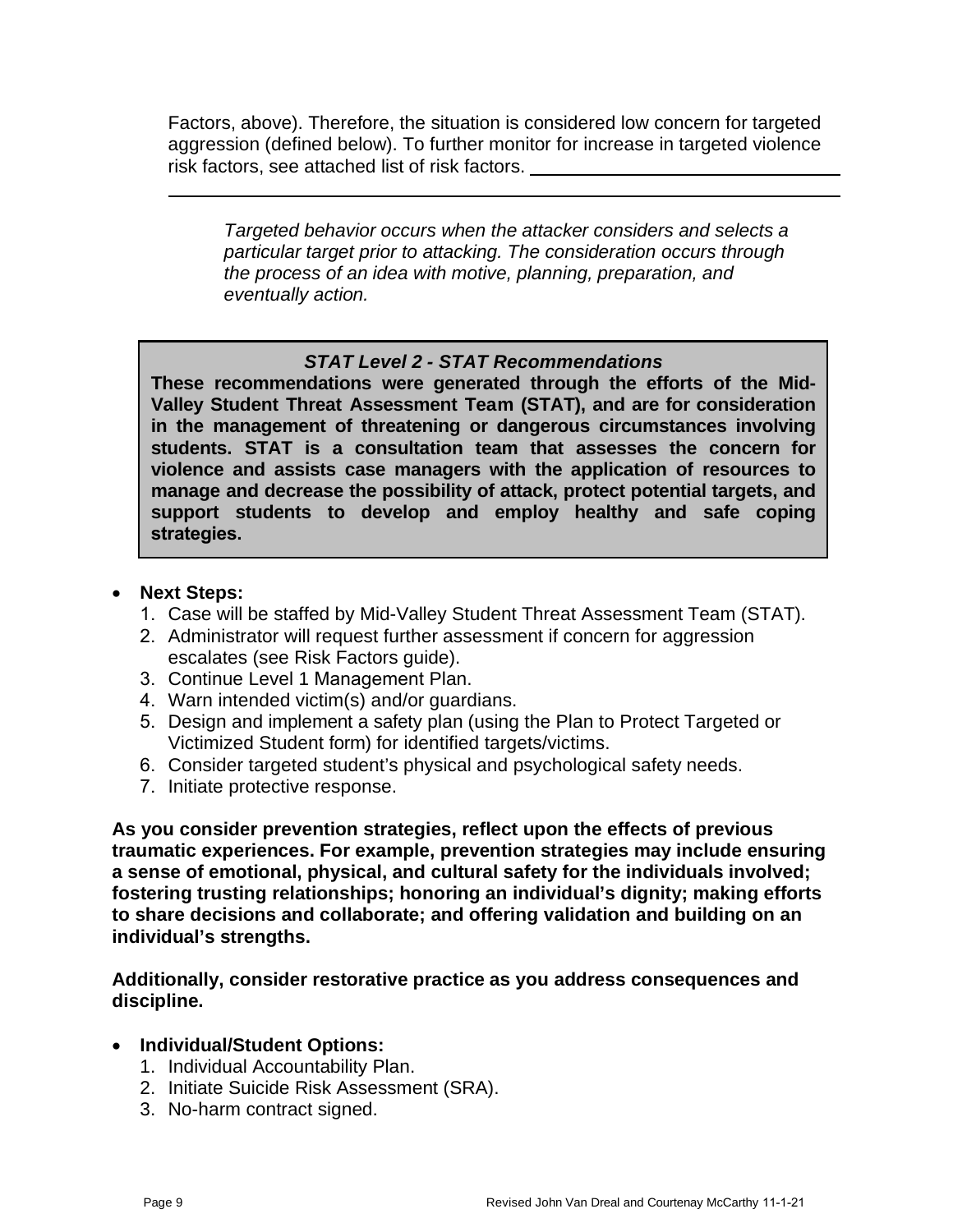Factors, above). Therefore, the situation is considered low concern for targeted aggression (defined below). To further monitor for increase in targeted violence risk factors, see attached list of risk factors.

*Targeted behavior occurs when the attacker considers and selects a particular target prior to attacking. The consideration occurs through the process of an idea with motive, planning, preparation, and eventually action.*

### *STAT Level 2 - STAT Recommendations*

**These recommendations were generated through the efforts of the Mid-Valley Student Threat Assessment Team (STAT), and are for consideration in the management of threatening or dangerous circumstances involving students. STAT is a consultation team that assesses the concern for violence and assists case managers with the application of resources to manage and decrease the possibility of attack, protect potential targets, and support students to develop and employ healthy and safe coping strategies.**

### • **Next Steps:**

- 1. Case will be staffed by Mid-Valley Student Threat Assessment Team (STAT).
- 2. Administrator will request further assessment if concern for aggression escalates (see Risk Factors guide).
- 3. Continue Level 1 Management Plan.
- 4. Warn intended victim(s) and/or guardians.
- 5. Design and implement a safety plan (using the Plan to Protect Targeted or Victimized Student form) for identified targets/victims.
- 6. Consider targeted student's physical and psychological safety needs.
- 7. Initiate protective response.

**As you consider prevention strategies, reflect upon the effects of previous traumatic experiences. For example, prevention strategies may include ensuring a sense of emotional, physical, and cultural safety for the individuals involved; fostering trusting relationships; honoring an individual's dignity; making efforts to share decisions and collaborate; and offering validation and building on an individual's strengths.**

**Additionally, consider restorative practice as you address consequences and discipline.**

- **Individual/Student Options:**
	- 1. Individual Accountability Plan.
	- 2. Initiate Suicide Risk Assessment (SRA).
	- 3. No-harm contract signed.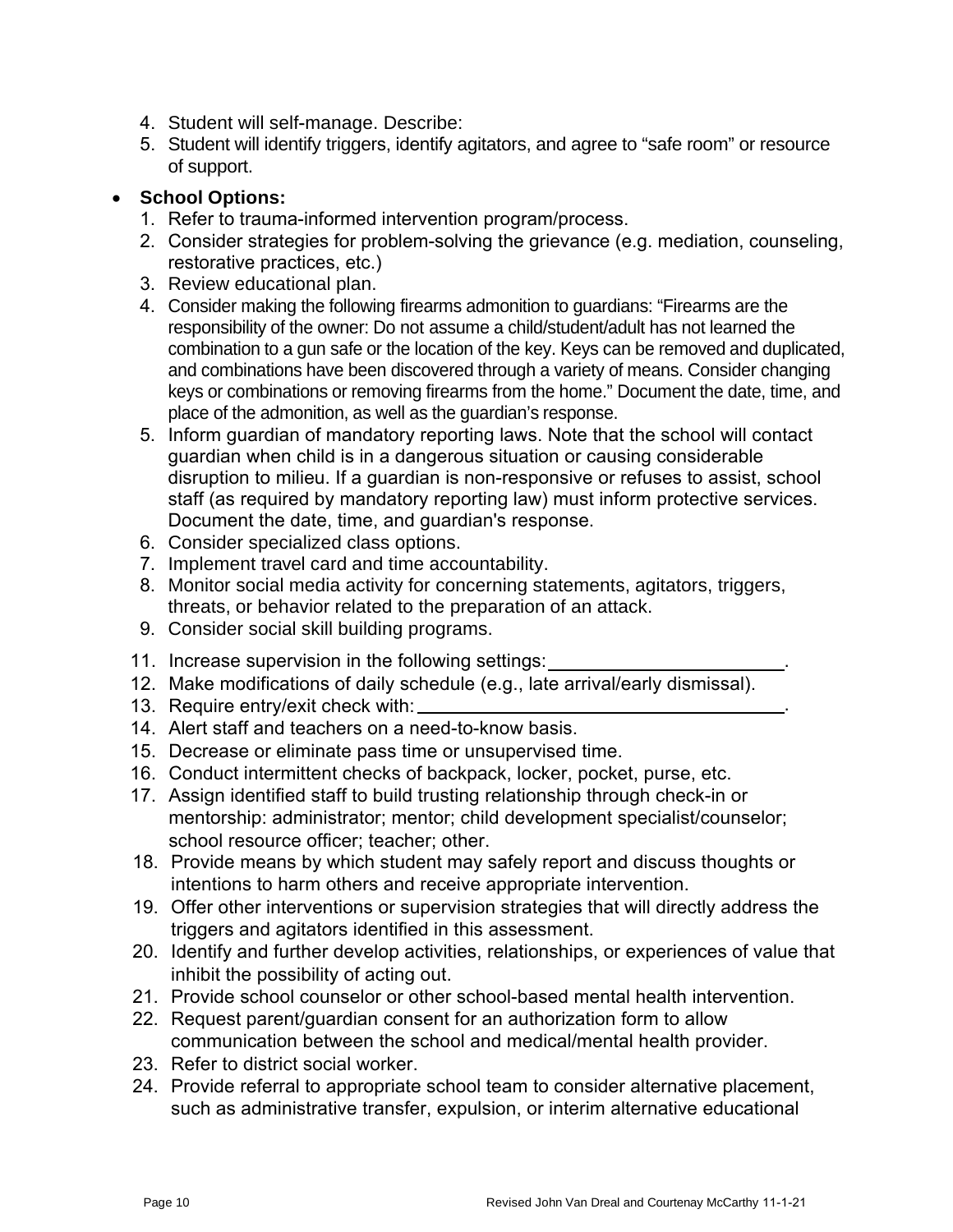- 4. Student will self-manage. Describe:
- 5. Student will identify triggers, identify agitators, and agree to "safe room" or resource of support.

## • **School Options:**

- 1. Refer to trauma-informed intervention program/process.
- 2. Consider strategies for problem-solving the grievance (e.g. mediation, counseling, restorative practices, etc.)
- 3. Review educational plan.
- 4. Consider making the following firearms admonition to guardians: "Firearms are the responsibility of the owner: Do not assume a child/student/adult has not learned the combination to a gun safe or the location of the key. Keys can be removed and duplicated, and combinations have been discovered through a variety of means. Consider changing keys or combinations or removing firearms from the home." Document the date, time, and place of the admonition, as well as the guardian's response.
- 5. Inform guardian of mandatory reporting laws. Note that the school will contact guardian when child is in a dangerous situation or causing considerable disruption to milieu. If a guardian is non-responsive or refuses to assist, school staff (as required by mandatory reporting law) must inform protective services. Document the date, time, and guardian's response.
- 6. Consider specialized class options.
- 7. Implement travel card and time accountability.
- 8. Monitor social media activity for concerning statements, agitators, triggers, threats, or behavior related to the preparation of an attack.
- 9. Consider social skill building programs.
- 11. Increase supervision in the following settings:
- 12. Make modifications of daily schedule (e.g., late arrival/early dismissal).
- 13. Require entry/exit check with:
- 14. Alert staff and teachers on a need-to-know basis.
- 15. Decrease or eliminate pass time or unsupervised time.
- 16. Conduct intermittent checks of backpack, locker, pocket, purse, etc.
- 17. Assign identified staff to build trusting relationship through check-in or mentorship: administrator; mentor; child development specialist/counselor; school resource officer; teacher; other.
- 18. Provide means by which student may safely report and discuss thoughts or intentions to harm others and receive appropriate intervention.
- 19. Offer other interventions or supervision strategies that will directly address the triggers and agitators identified in this assessment.
- 20. Identify and further develop activities, relationships, or experiences of value that inhibit the possibility of acting out.
- 21. Provide school counselor or other school-based mental health intervention.
- 22. Request parent/guardian consent for an authorization form to allow communication between the school and medical/mental health provider.
- 23. Refer to district social worker.
- 24. Provide referral to appropriate school team to consider alternative placement, such as administrative transfer, expulsion, or interim alternative educational

.

.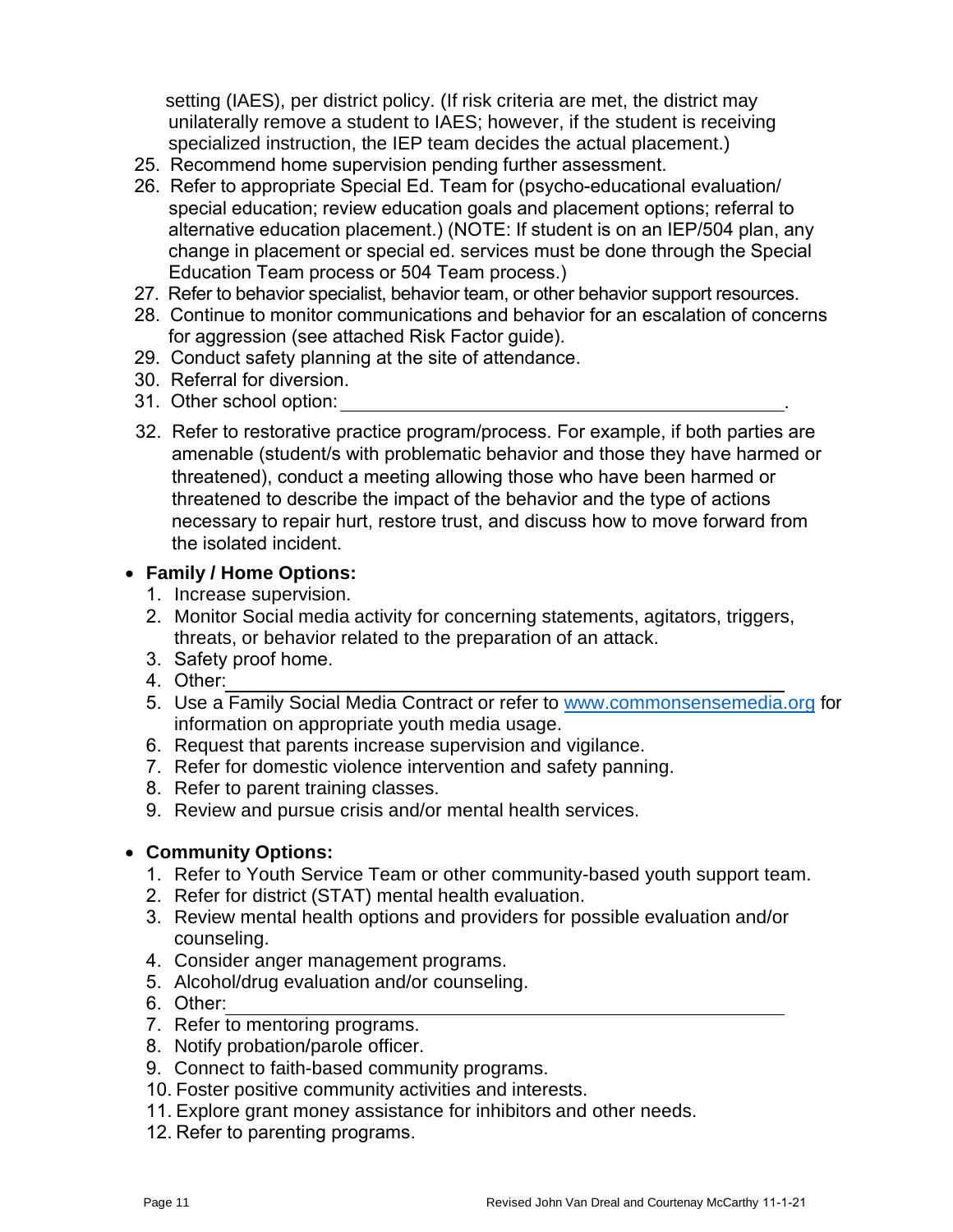setting (IAES), per district policy. (If risk criteria are met, the district may unilaterally remove a student to IAES; however, if the student is receiving specialized instruction, the IEP team decides the actual placement.)

- 25. Recommend home supervision pending further assessment.
- 26. Refer to appropriate Special Ed. Team for (psycho-educational evaluation/ special education; review education goals and placement options; referral to alternative education placement.) (NOTE: If student is on an IEP/504 plan, any change in placement or special ed. services must be done through the Special Education Team process or 504 Team process.)
- 27. Refer to behavior specialist, behavior team, or other behavior support resources.
- 28. Continue to monitor communications and behavior for an escalation of concerns for aggression (see attached Risk Factor guide).
- 29. Conduct safety planning at the site of attendance.
- 30. Referral for diversion.
- 31. Other school option: .
- 32. Refer to restorative practice program/process. For example, if both parties are amenable (student/s with problematic behavior and those they have harmed or threatened), conduct a meeting allowing those who have been harmed or threatened to describe the impact of the behavior and the type of actions necessary to repair hurt, restore trust, and discuss how to move forward from the isolated incident.

### • **Family / Home Options:**

- 1. Increase supervision.
- 2. Monitor Social media activity for concerning statements, agitators, triggers, threats, or behavior related to the preparation of an attack.
- 3. Safety proof home.
- 4. Other:
- 5. Use a Family Social Media Contract or refer t[o www.commonsensemedia.org](http://www.commonsensemedia.org/) for information on appropriate youth media usage.
- 6. Request that parents increase supervision and vigilance.
- 7. Refer for domestic violence intervention and safety panning.
- 8. Refer to parent training classes.
- 9. Review and pursue crisis and/or mental health services.

### • **Community Options:**

- 1. Refer to Youth Service Team or other community-based youth support team.
- 2. Refer for district (STAT) mental health evaluation.
- 3. Review mental health options and providers for possible evaluation and/or counseling.
- 4. Consider anger management programs.
- 5. Alcohol/drug evaluation and/or counseling.
- 6. Other:
- 7. Refer to mentoring programs.
- 8. Notify probation/parole officer.
- 9. Connect to faith-based community programs.
- 10. Foster positive community activities and interests.
- 11. Explore grant money assistance for inhibitors and other needs.
- 12. Refer to parenting programs.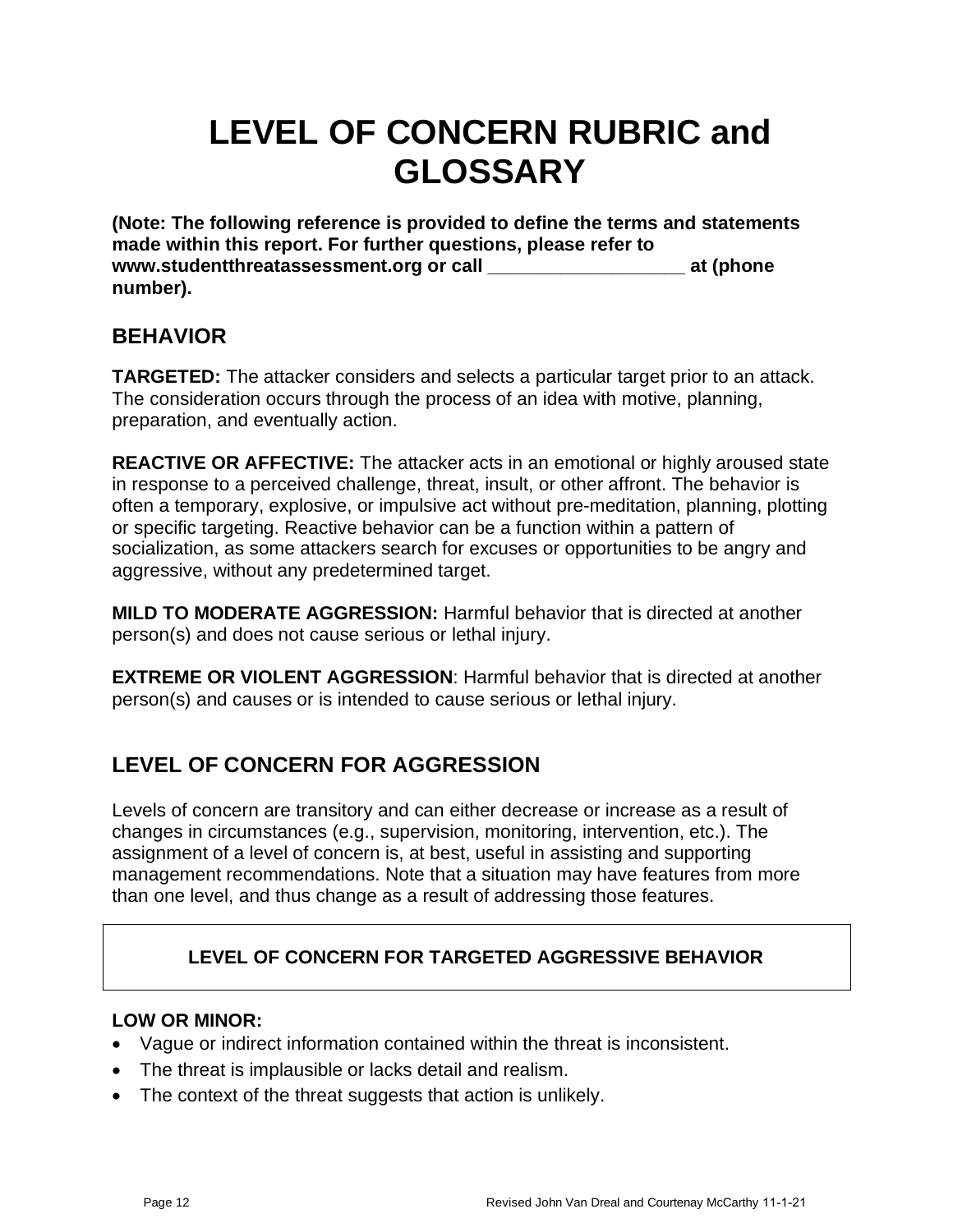# **LEVEL OF CONCERN RUBRIC and GLOSSARY**

**(Note: The following reference is provided to define the terms and statements made within this report. For further questions, please refer to www.studentthreatassessment.org or call \_\_\_\_\_\_\_\_\_\_\_\_\_\_\_\_\_\_\_ at (phone number).**

## **BEHAVIOR**

**TARGETED:** The attacker considers and selects a particular target prior to an attack. The consideration occurs through the process of an idea with motive, planning, preparation, and eventually action.

**REACTIVE OR AFFECTIVE:** The attacker acts in an emotional or highly aroused state in response to a perceived challenge, threat, insult, or other affront. The behavior is often a temporary, explosive, or impulsive act without pre-meditation, planning, plotting or specific targeting. Reactive behavior can be a function within a pattern of socialization, as some attackers search for excuses or opportunities to be angry and aggressive, without any predetermined target.

**MILD TO MODERATE AGGRESSION:** Harmful behavior that is directed at another person(s) and does not cause serious or lethal injury.

**EXTREME OR VIOLENT AGGRESSION**: Harmful behavior that is directed at another person(s) and causes or is intended to cause serious or lethal injury.

# **LEVEL OF CONCERN FOR AGGRESSION**

Levels of concern are transitory and can either decrease or increase as a result of changes in circumstances (e.g., supervision, monitoring, intervention, etc.). The assignment of a level of concern is, at best, useful in assisting and supporting management recommendations. Note that a situation may have features from more than one level, and thus change as a result of addressing those features.

## **LEVEL OF CONCERN FOR TARGETED AGGRESSIVE BEHAVIOR**

## **LOW OR MINOR:**

- Vague or indirect information contained within the threat is inconsistent.
- The threat is implausible or lacks detail and realism.
- The context of the threat suggests that action is unlikely.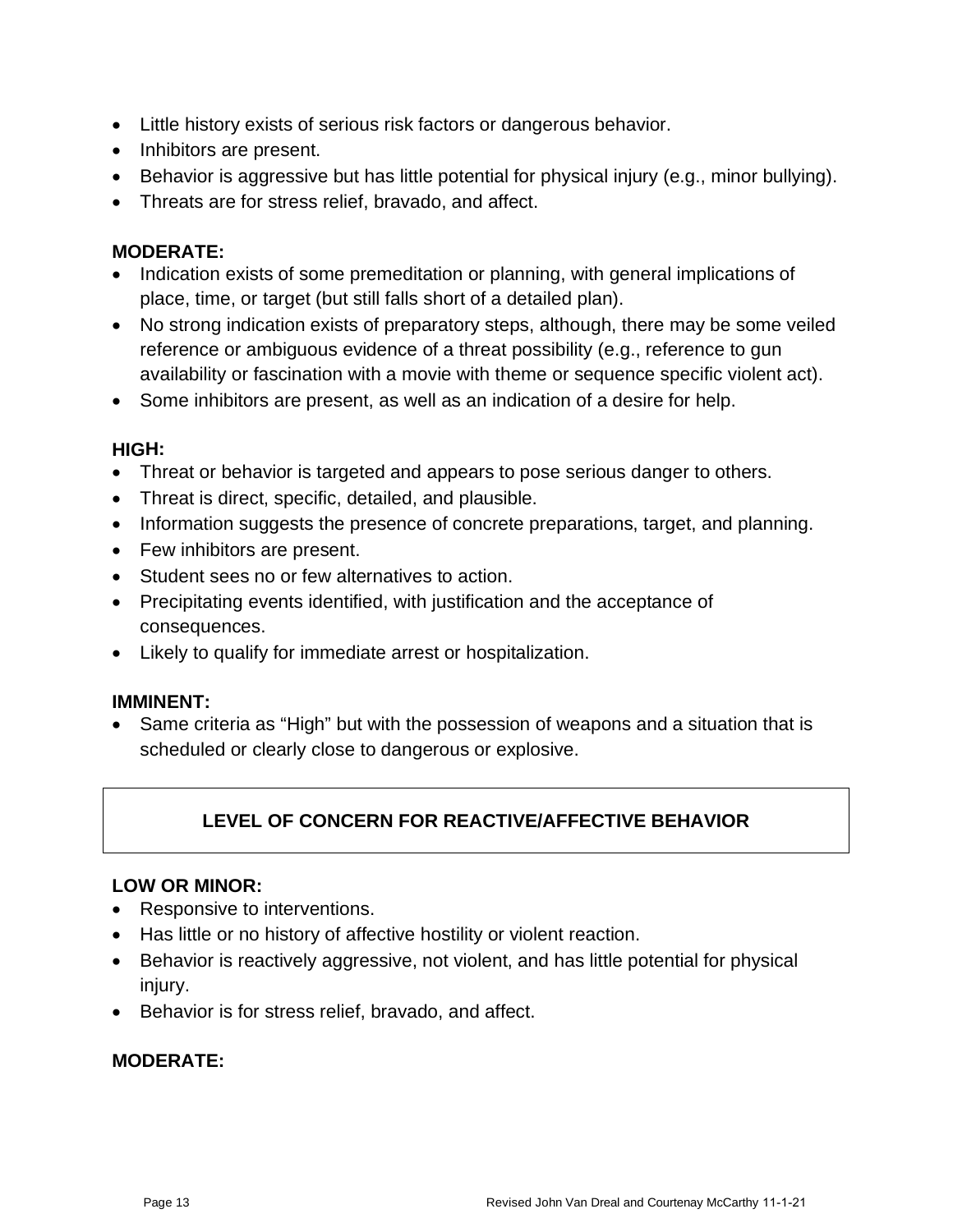- Little history exists of serious risk factors or dangerous behavior.
- Inhibitors are present.
- Behavior is aggressive but has little potential for physical injury (e.g., minor bullying).
- Threats are for stress relief, bravado, and affect.

### **MODERATE:**

- Indication exists of some premeditation or planning, with general implications of place, time, or target (but still falls short of a detailed plan).
- No strong indication exists of preparatory steps, although, there may be some veiled reference or ambiguous evidence of a threat possibility (e.g., reference to gun availability or fascination with a movie with theme or sequence specific violent act).
- Some inhibitors are present, as well as an indication of a desire for help.

### **HIGH:**

- Threat or behavior is targeted and appears to pose serious danger to others.
- Threat is direct, specific, detailed, and plausible.
- Information suggests the presence of concrete preparations, target, and planning.
- Few inhibitors are present.
- Student sees no or few alternatives to action.
- Precipitating events identified, with justification and the acceptance of consequences.
- Likely to qualify for immediate arrest or hospitalization.

### **IMMINENT:**

• Same criteria as "High" but with the possession of weapons and a situation that is scheduled or clearly close to dangerous or explosive.

## **LEVEL OF CONCERN FOR REACTIVE/AFFECTIVE BEHAVIOR**

### **LOW OR MINOR:**

- Responsive to interventions.
- Has little or no history of affective hostility or violent reaction.
- Behavior is reactively aggressive, not violent, and has little potential for physical injury.
- Behavior is for stress relief, bravado, and affect.

### **MODERATE:**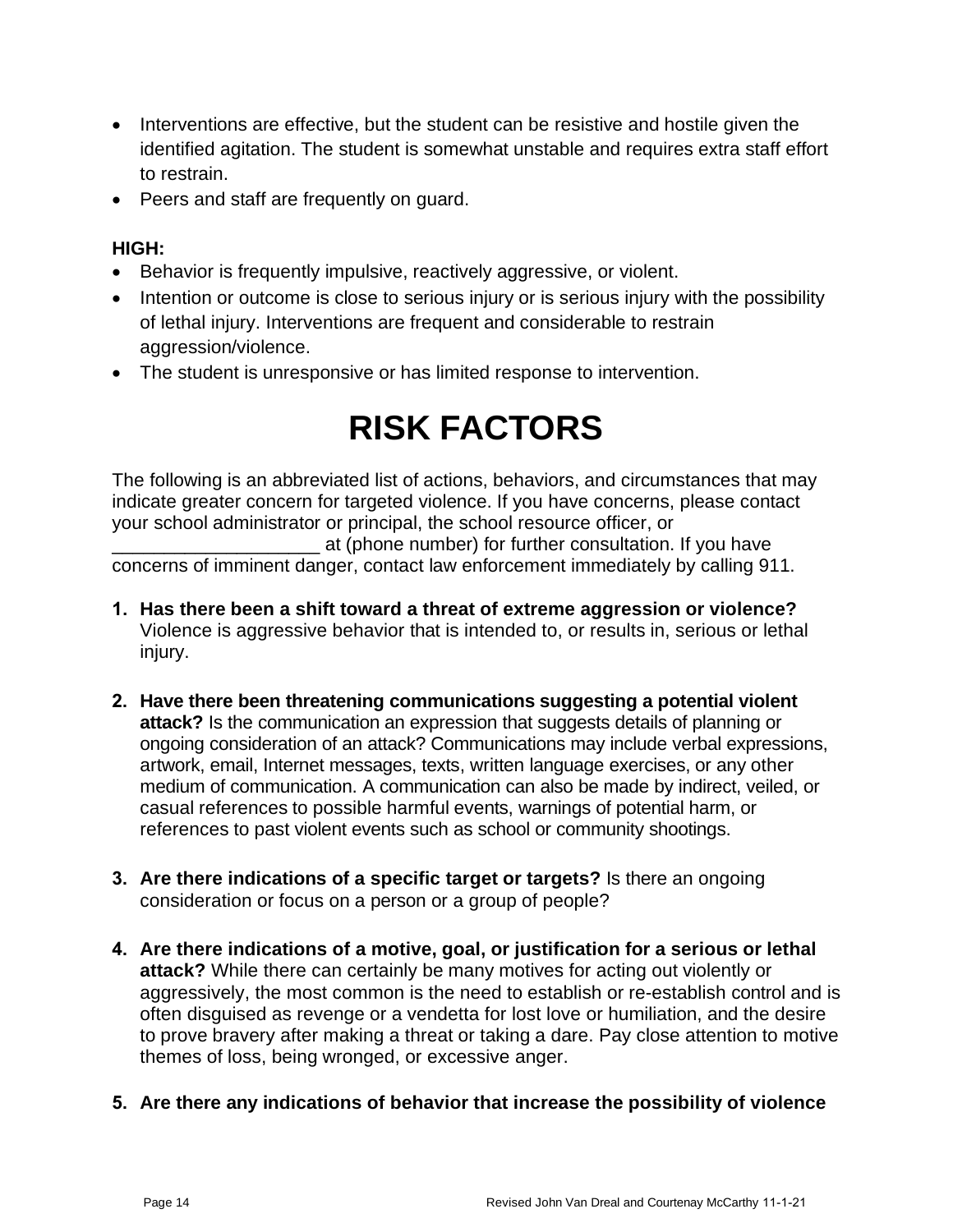- Interventions are effective, but the student can be resistive and hostile given the identified agitation. The student is somewhat unstable and requires extra staff effort to restrain.
- Peers and staff are frequently on guard.

### **HIGH:**

- Behavior is frequently impulsive, reactively aggressive, or violent.
- Intention or outcome is close to serious injury or is serious injury with the possibility of lethal injury. Interventions are frequent and considerable to restrain aggression/violence.
- The student is unresponsive or has limited response to intervention.

# **RISK FACTORS**

The following is an abbreviated list of actions, behaviors, and circumstances that may indicate greater concern for targeted violence. If you have concerns, please contact your school administrator or principal, the school resource officer, or

\_\_\_\_\_\_\_\_\_\_\_\_\_\_\_\_\_\_\_\_ at (phone number) for further consultation. If you have concerns of imminent danger, contact law enforcement immediately by calling 911.

- **1. Has there been a shift toward a threat of extreme aggression or violence?** Violence is aggressive behavior that is intended to, or results in, serious or lethal injury.
- **2. Have there been threatening communications suggesting a potential violent attack?** Is the communication an expression that suggests details of planning or ongoing consideration of an attack? Communications may include verbal expressions, artwork, email, Internet messages, texts, written language exercises, or any other medium of communication. A communication can also be made by indirect, veiled, or casual references to possible harmful events, warnings of potential harm, or references to past violent events such as school or community shootings.
- **3. Are there indications of a specific target or targets?** Is there an ongoing consideration or focus on a person or a group of people?
- **4. Are there indications of a motive, goal, or justification for a serious or lethal attack?** While there can certainly be many motives for acting out violently or aggressively, the most common is the need to establish or re-establish control and is often disguised as revenge or a vendetta for lost love or humiliation, and the desire to prove bravery after making a threat or taking a dare. Pay close attention to motive themes of loss, being wronged, or excessive anger.
- **5. Are there any indications of behavior that increase the possibility of violence**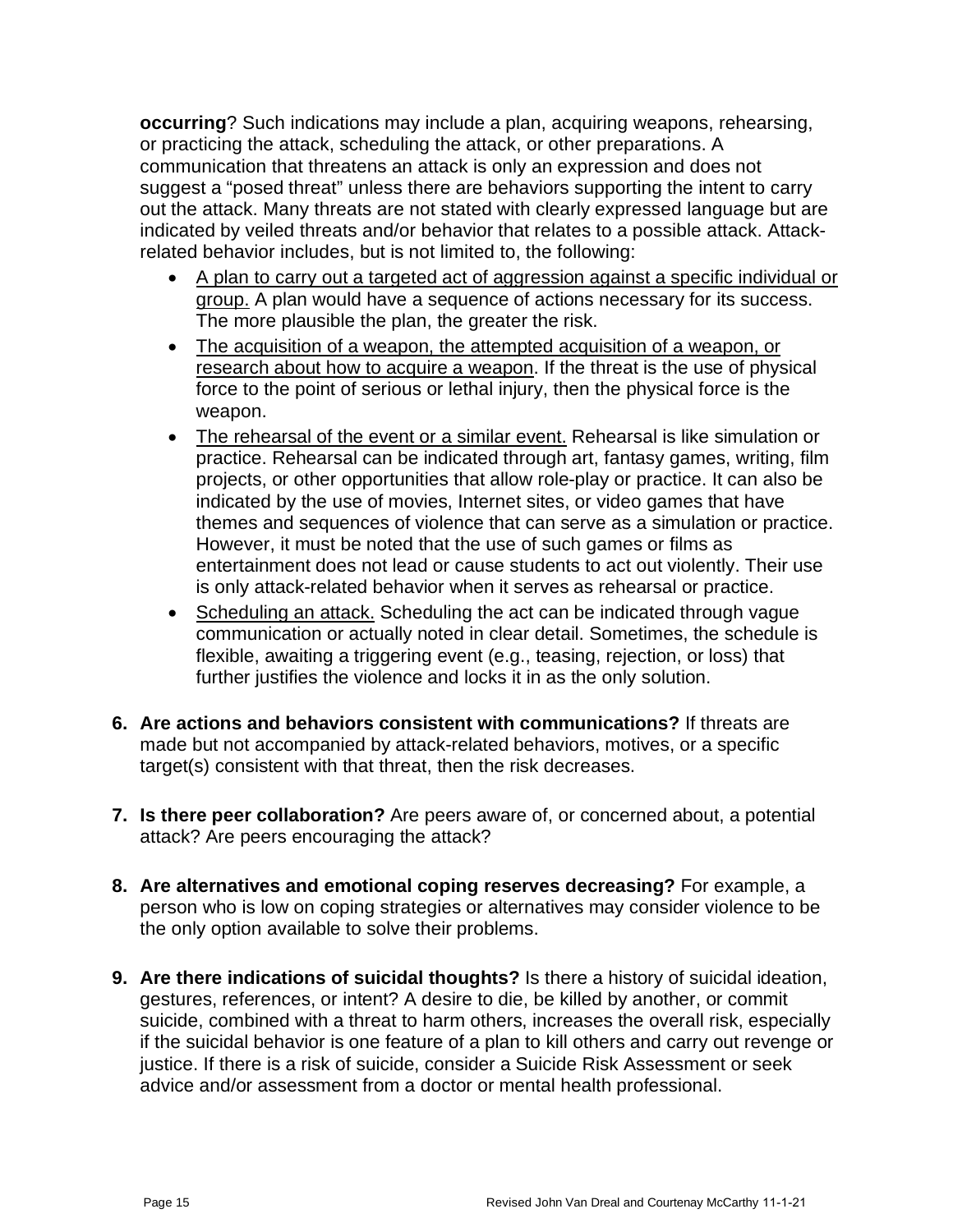**occurring**? Such indications may include a plan, acquiring weapons, rehearsing, or practicing the attack, scheduling the attack, or other preparations. A communication that threatens an attack is only an expression and does not suggest a "posed threat" unless there are behaviors supporting the intent to carry out the attack. Many threats are not stated with clearly expressed language but are indicated by veiled threats and/or behavior that relates to a possible attack. Attackrelated behavior includes, but is not limited to, the following:

- A plan to carry out a targeted act of aggression against a specific individual or group. A plan would have a sequence of actions necessary for its success. The more plausible the plan, the greater the risk.
- The acquisition of a weapon, the attempted acquisition of a weapon, or research about how to acquire a weapon. If the threat is the use of physical force to the point of serious or lethal injury, then the physical force is the weapon.
- The rehearsal of the event or a similar event. Rehearsal is like simulation or practice. Rehearsal can be indicated through art, fantasy games, writing, film projects, or other opportunities that allow role-play or practice. It can also be indicated by the use of movies, Internet sites, or video games that have themes and sequences of violence that can serve as a simulation or practice. However, it must be noted that the use of such games or films as entertainment does not lead or cause students to act out violently. Their use is only attack-related behavior when it serves as rehearsal or practice.
- Scheduling an attack. Scheduling the act can be indicated through vague communication or actually noted in clear detail. Sometimes, the schedule is flexible, awaiting a triggering event (e.g., teasing, rejection, or loss) that further justifies the violence and locks it in as the only solution.
- **6. Are actions and behaviors consistent with communications?** If threats are made but not accompanied by attack-related behaviors, motives, or a specific target(s) consistent with that threat, then the risk decreases.
- **7. Is there peer collaboration?** Are peers aware of, or concerned about, a potential attack? Are peers encouraging the attack?
- **8. Are alternatives and emotional coping reserves decreasing?** For example, a person who is low on coping strategies or alternatives may consider violence to be the only option available to solve their problems.
- **9. Are there indications of suicidal thoughts?** Is there a history of suicidal ideation, gestures, references, or intent? A desire to die, be killed by another, or commit suicide, combined with a threat to harm others, increases the overall risk, especially if the suicidal behavior is one feature of a plan to kill others and carry out revenge or justice. If there is a risk of suicide, consider a Suicide Risk Assessment or seek advice and/or assessment from a doctor or mental health professional.